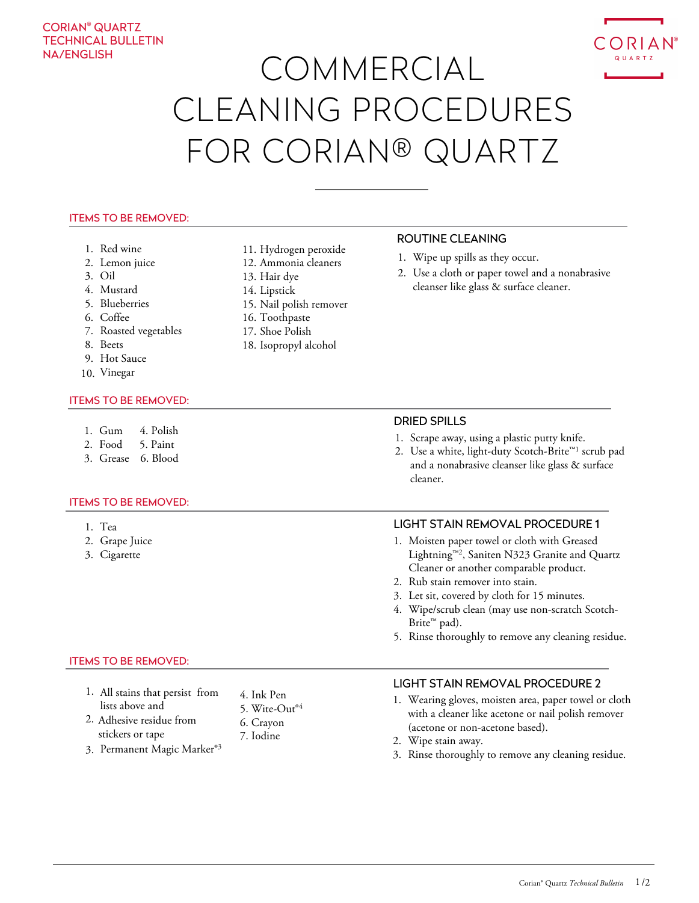# CORIAN® QUARTZ TECHNICAL BULLETIN NA/ENGLISH



#### ITEMS TO BE REMOVED:

- 1. Red wine
- 2. Lemon juice
- 3. Oil
- 4. Mustard
- 5. Blueberries
- 6. Coffee
- 7. Roasted vegetables
- 8. Beets
- 9. Hot Sauce
- 10. Vinegar

#### ITEMS TO BE REMOVED:

- 1. Gum 4. Polish
- 2. Food 5. Paint
- 3. Grease 6. Blood

#### ITEMS TO BE REMOVED:

- 1. Tea
- 2. Grape Juice
- 3. Cigarette

## ITEMS TO BE REMOVED:

- 1. All stains that persist from lists above and 4. Ink Pen
- 2. Adhesive residue from stickers or tape
- 3. Permanent Magic Marker®<sup>3</sup>
- 11. Hydrogen peroxide
- 12. Ammonia cleaners
- 13. Hair dye
- 14. Lipstick
- 15. Nail polish remover
- 16. Toothpaste
- 17. Shoe Polish

5. Wite-Out® 4 6. Crayon 7. Iodine

18. Isopropyl alcohol

## ROUTINE CLEANING

- 1. Wipe up spills as they occur.
- 2. Use a cloth or paper towel and a nonabrasive cleanser like glass & surface cleaner.

#### DRIED SPILLS

- 1. Scrape away, using a plastic putty knife.
- 2. Use a white, light-duty Scotch-Brite<sup>™1</sup> scrub pad and a nonabrasive cleanser like glass & surface cleaner.

## LIGHT STAIN REMOVAL PROCEDURE 1

- 1. Moisten paper towel or cloth with Greased Lightning™<sup>2</sup> , Saniten N323 Granite and Quartz Cleaner or another comparable product.
- 2. Rub stain remover into stain.
- 3. Let sit, covered by cloth for 15 minutes.
- 4. Wipe/scrub clean (may use non-scratch Scotch-Brite™ pad).
- 5. Rinse thoroughly to remove any cleaning residue.

## LIGHT STAIN REMOVAL PROCEDURE 2

- 1. Wearing gloves, moisten area, paper towel or cloth with a cleaner like acetone or nail polish remover (acetone or non-acetone based).
- 2. Wipe stain away.
- 3. Rinse thoroughly to remove any cleaning residue.